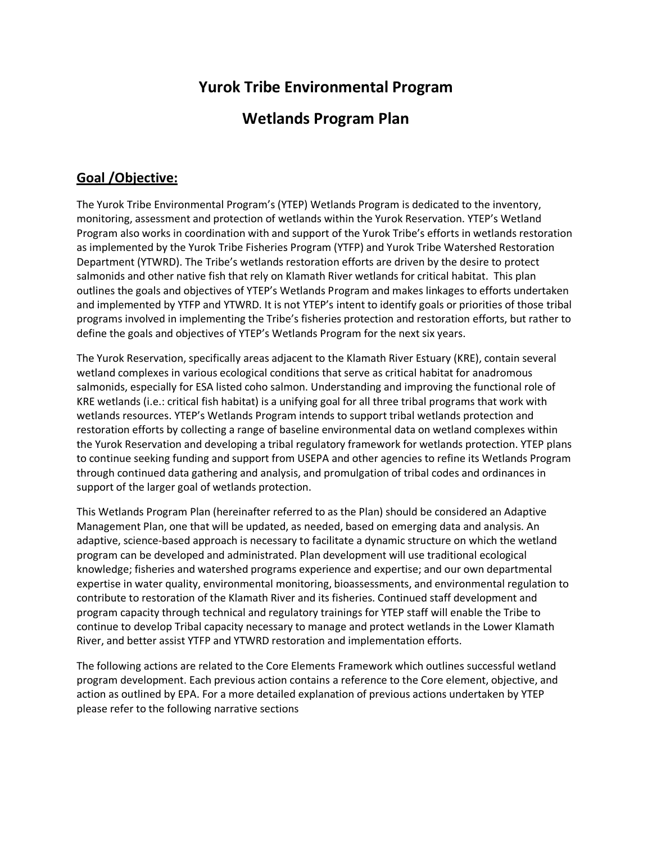# **Yurok Tribe Environmental Program**

# **Wetlands Program Plan**

# **Goal /Objective:**

The Yurok Tribe Environmental Program's (YTEP) Wetlands Program is dedicated to the inventory, monitoring, assessment and protection of wetlands within the Yurok Reservation. YTEP's Wetland Program also works in coordination with and support of the Yurok Tribe's efforts in wetlands restoration as implemented by the Yurok Tribe Fisheries Program (YTFP) and Yurok Tribe Watershed Restoration Department (YTWRD). The Tribe's wetlands restoration efforts are driven by the desire to protect salmonids and other native fish that rely on Klamath River wetlands for critical habitat. This plan outlines the goals and objectives of YTEP's Wetlands Program and makes linkages to efforts undertaken and implemented by YTFP and YTWRD. It is not YTEP's intent to identify goals or priorities of those tribal programs involved in implementing the Tribe's fisheries protection and restoration efforts, but rather to define the goals and objectives of YTEP's Wetlands Program for the next six years.

The Yurok Reservation, specifically areas adjacent to the Klamath River Estuary (KRE), contain several wetland complexes in various ecological conditions that serve as critical habitat for anadromous salmonids, especially for ESA listed coho salmon. Understanding and improving the functional role of KRE wetlands (i.e.: critical fish habitat) is a unifying goal for all three tribal programs that work with wetlands resources. YTEP's Wetlands Program intends to support tribal wetlands protection and restoration efforts by collecting a range of baseline environmental data on wetland complexes within the Yurok Reservation and developing a tribal regulatory framework for wetlands protection. YTEP plans to continue seeking funding and support from USEPA and other agencies to refine its Wetlands Program through continued data gathering and analysis, and promulgation of tribal codes and ordinances in support of the larger goal of wetlands protection.

This Wetlands Program Plan (hereinafter referred to as the Plan) should be considered an Adaptive Management Plan, one that will be updated, as needed, based on emerging data and analysis. An adaptive, science-based approach is necessary to facilitate a dynamic structure on which the wetland program can be developed and administrated. Plan development will use traditional ecological knowledge; fisheries and watershed programs experience and expertise; and our own departmental expertise in water quality, environmental monitoring, bioassessments, and environmental regulation to contribute to restoration of the Klamath River and its fisheries. Continued staff development and program capacity through technical and regulatory trainings for YTEP staff will enable the Tribe to continue to develop Tribal capacity necessary to manage and protect wetlands in the Lower Klamath River, and better assist YTFP and YTWRD restoration and implementation efforts.

The following actions are related to the Core Elements Framework which outlines successful wetland program development. Each previous action contains a reference to the Core element, objective, and action as outlined by EPA. For a more detailed explanation of previous actions undertaken by YTEP please refer to the following narrative sections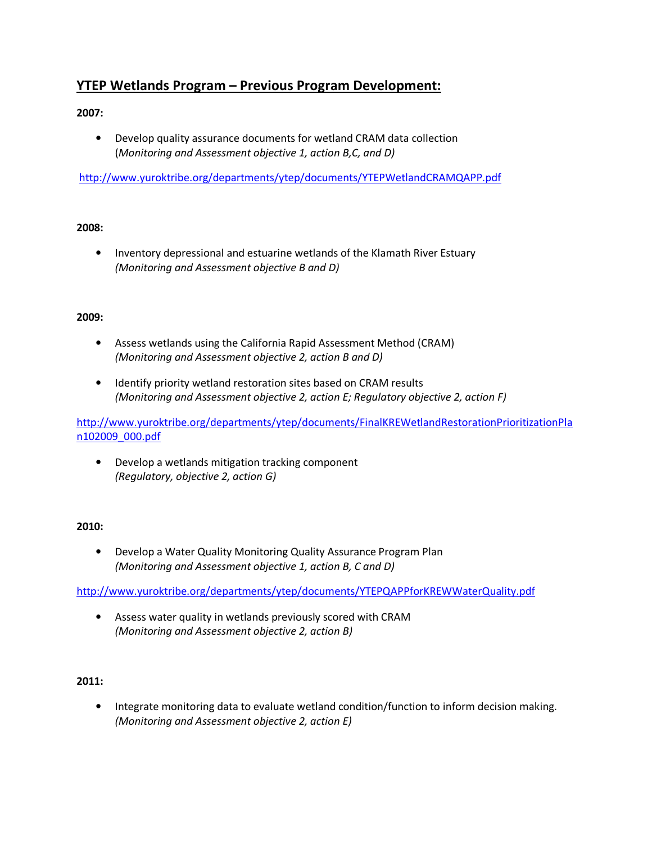# **YTEP Wetlands Program – Previous Program Development:**

## **2007:**

• Develop quality assurance documents for wetland CRAM data collection (*Monitoring and Assessment objective 1, action B,C, and D)* 

http://www.yuroktribe.org/departments/ytep/documents/YTEPWetlandCRAMQAPP.pdf

#### **2008:**

• Inventory depressional and estuarine wetlands of the Klamath River Estuary *(Monitoring and Assessment objective B and D)* 

#### **2009:**

- Assess wetlands using the California Rapid Assessment Method (CRAM) *(Monitoring and Assessment objective 2, action B and D)*
- Identify priority wetland restoration sites based on CRAM results *(Monitoring and Assessment objective 2, action E; Regulatory objective 2, action F)*

http://www.yuroktribe.org/departments/ytep/documents/FinalKREWetlandRestorationPrioritizationPla n102009\_000.pdf

• Develop a wetlands mitigation tracking component *(Regulatory, objective 2, action G)* 

#### **2010:**

• Develop a Water Quality Monitoring Quality Assurance Program Plan *(Monitoring and Assessment objective 1, action B, C and D)* 

http://www.yuroktribe.org/departments/ytep/documents/YTEPQAPPforKREWWaterQuality.pdf

• Assess water quality in wetlands previously scored with CRAM *(Monitoring and Assessment objective 2, action B)* 

### **2011:**

• Integrate monitoring data to evaluate wetland condition/function to inform decision making. *(Monitoring and Assessment objective 2, action E)*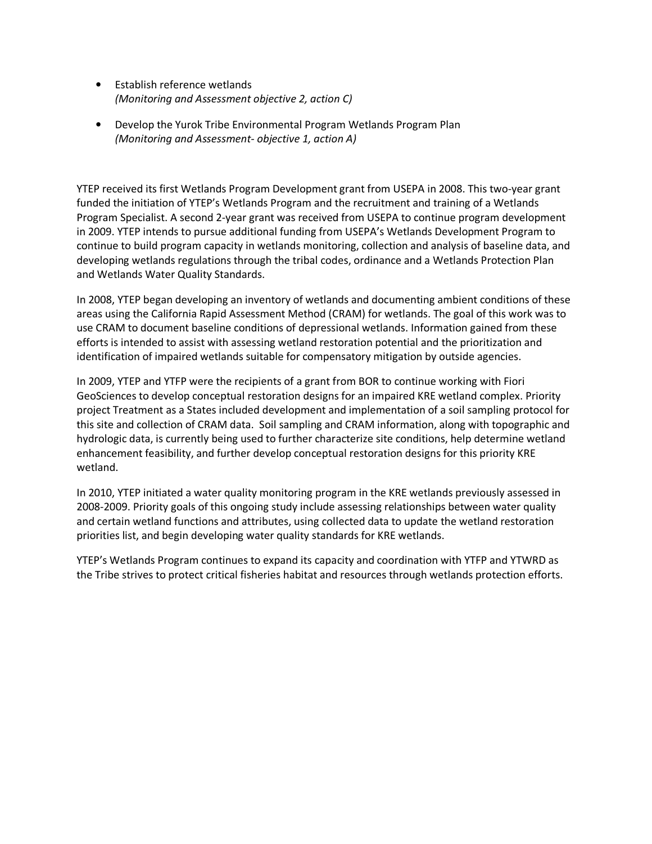- Establish reference wetlands *(Monitoring and Assessment objective 2, action C)*
- Develop the Yurok Tribe Environmental Program Wetlands Program Plan *(Monitoring and Assessment- objective 1, action A)*

YTEP received its first Wetlands Program Development grant from USEPA in 2008. This two-year grant funded the initiation of YTEP's Wetlands Program and the recruitment and training of a Wetlands Program Specialist. A second 2-year grant was received from USEPA to continue program development in 2009. YTEP intends to pursue additional funding from USEPA's Wetlands Development Program to continue to build program capacity in wetlands monitoring, collection and analysis of baseline data, and developing wetlands regulations through the tribal codes, ordinance and a Wetlands Protection Plan and Wetlands Water Quality Standards.

In 2008, YTEP began developing an inventory of wetlands and documenting ambient conditions of these areas using the California Rapid Assessment Method (CRAM) for wetlands. The goal of this work was to use CRAM to document baseline conditions of depressional wetlands. Information gained from these efforts is intended to assist with assessing wetland restoration potential and the prioritization and identification of impaired wetlands suitable for compensatory mitigation by outside agencies.

In 2009, YTEP and YTFP were the recipients of a grant from BOR to continue working with Fiori GeoSciences to develop conceptual restoration designs for an impaired KRE wetland complex. Priority project Treatment as a States included development and implementation of a soil sampling protocol for this site and collection of CRAM data. Soil sampling and CRAM information, along with topographic and hydrologic data, is currently being used to further characterize site conditions, help determine wetland enhancement feasibility, and further develop conceptual restoration designs for this priority KRE wetland.

In 2010, YTEP initiated a water quality monitoring program in the KRE wetlands previously assessed in 2008-2009. Priority goals of this ongoing study include assessing relationships between water quality and certain wetland functions and attributes, using collected data to update the wetland restoration priorities list, and begin developing water quality standards for KRE wetlands.

YTEP's Wetlands Program continues to expand its capacity and coordination with YTFP and YTWRD as the Tribe strives to protect critical fisheries habitat and resources through wetlands protection efforts.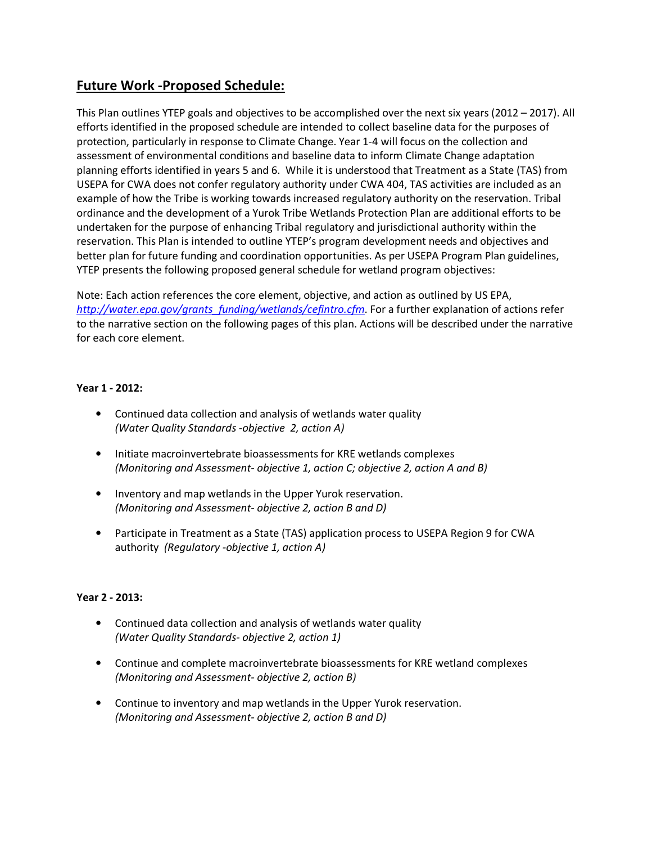# **Future Work -Proposed Schedule:**

This Plan outlines YTEP goals and objectives to be accomplished over the next six years (2012 – 2017). All efforts identified in the proposed schedule are intended to collect baseline data for the purposes of protection, particularly in response to Climate Change. Year 1-4 will focus on the collection and assessment of environmental conditions and baseline data to inform Climate Change adaptation planning efforts identified in years 5 and 6. While it is understood that Treatment as a State (TAS) from USEPA for CWA does not confer regulatory authority under CWA 404, TAS activities are included as an example of how the Tribe is working towards increased regulatory authority on the reservation. Tribal ordinance and the development of a Yurok Tribe Wetlands Protection Plan are additional efforts to be undertaken for the purpose of enhancing Tribal regulatory and jurisdictional authority within the reservation. This Plan is intended to outline YTEP's program development needs and objectives and better plan for future funding and coordination opportunities. As per USEPA Program Plan guidelines, YTEP presents the following proposed general schedule for wetland program objectives:

Note: Each action references the core element, objective, and action as outlined by US EPA, *http://water.epa.gov/grants\_funding/wetlands/cefintro.cfm*. For a further explanation of actions refer to the narrative section on the following pages of this plan. Actions will be described under the narrative for each core element.

### **Year 1 - 2012:**

- Continued data collection and analysis of wetlands water quality *(Water Quality Standards -objective 2, action A)*
- Initiate macroinvertebrate bioassessments for KRE wetlands complexes *(Monitoring and Assessment- objective 1, action C; objective 2, action A and B)*
- Inventory and map wetlands in the Upper Yurok reservation. *(Monitoring and Assessment- objective 2, action B and D)*
- Participate in Treatment as a State (TAS) application process to USEPA Region 9 for CWA authority *(Regulatory -objective 1, action A)*

## **Year 2 - 2013:**

- Continued data collection and analysis of wetlands water quality *(Water Quality Standards- objective 2, action 1)*
- Continue and complete macroinvertebrate bioassessments for KRE wetland complexes *(Monitoring and Assessment- objective 2, action B)*
- Continue to inventory and map wetlands in the Upper Yurok reservation. *(Monitoring and Assessment- objective 2, action B and D)*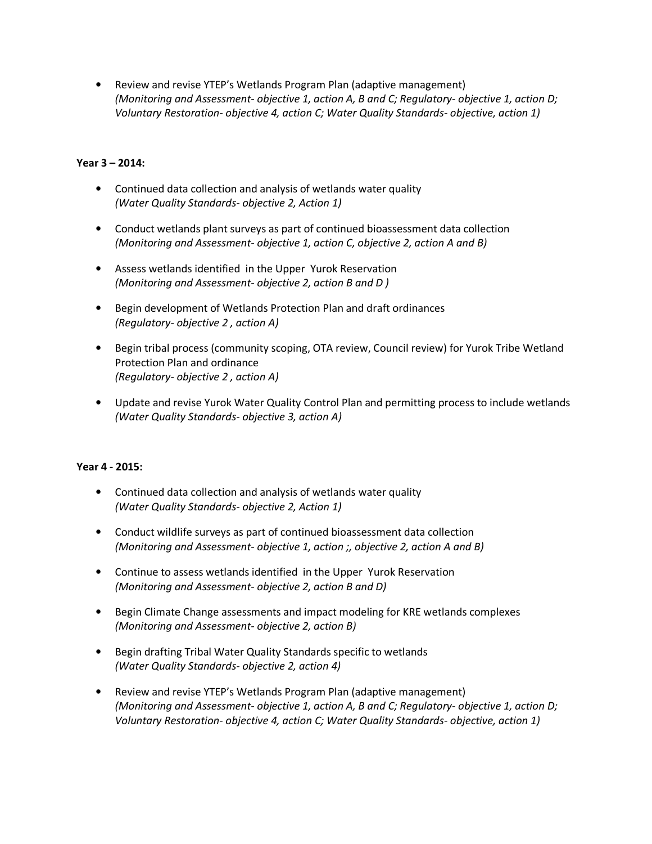• Review and revise YTEP's Wetlands Program Plan (adaptive management) *(Monitoring and Assessment- objective 1, action A, B and C; Regulatory- objective 1, action D; Voluntary Restoration- objective 4, action C; Water Quality Standards- objective, action 1)* 

### **Year 3 – 2014:**

- Continued data collection and analysis of wetlands water quality *(Water Quality Standards- objective 2, Action 1)*
- Conduct wetlands plant surveys as part of continued bioassessment data collection *(Monitoring and Assessment- objective 1, action C, objective 2, action A and B)*
- Assess wetlands identified in the Upper Yurok Reservation *(Monitoring and Assessment- objective 2, action B and D )*
- Begin development of Wetlands Protection Plan and draft ordinances *(Regulatory- objective 2 , action A)*
- Begin tribal process (community scoping, OTA review, Council review) for Yurok Tribe Wetland Protection Plan and ordinance *(Regulatory- objective 2 , action A)*
- Update and revise Yurok Water Quality Control Plan and permitting process to include wetlands *(Water Quality Standards- objective 3, action A)*

## **Year 4 - 2015:**

- Continued data collection and analysis of wetlands water quality *(Water Quality Standards- objective 2, Action 1)*
- Conduct wildlife surveys as part of continued bioassessment data collection *(Monitoring and Assessment- objective 1, action ;, objective 2, action A and B)*
- Continue to assess wetlands identified in the Upper Yurok Reservation *(Monitoring and Assessment- objective 2, action B and D)*
- Begin Climate Change assessments and impact modeling for KRE wetlands complexes *(Monitoring and Assessment- objective 2, action B)*
- Begin drafting Tribal Water Quality Standards specific to wetlands *(Water Quality Standards- objective 2, action 4)*
- Review and revise YTEP's Wetlands Program Plan (adaptive management) *(Monitoring and Assessment- objective 1, action A, B and C; Regulatory- objective 1, action D; Voluntary Restoration- objective 4, action C; Water Quality Standards- objective, action 1)*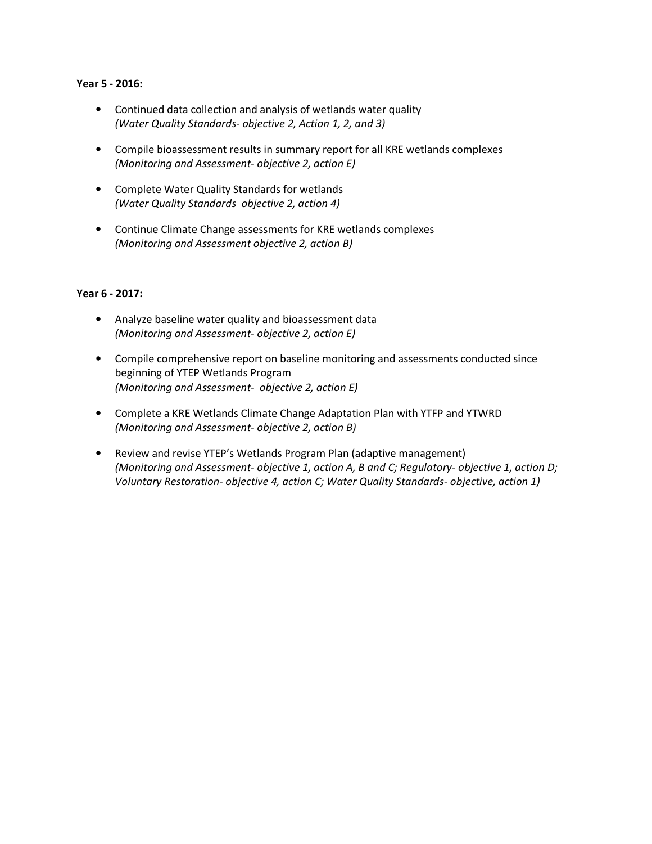#### **Year 5 - 2016:**

- Continued data collection and analysis of wetlands water quality *(Water Quality Standards- objective 2, Action 1, 2, and 3)*
- Compile bioassessment results in summary report for all KRE wetlands complexes *(Monitoring and Assessment- objective 2, action E)*
- Complete Water Quality Standards for wetlands *(Water Quality Standards objective 2, action 4)*
- Continue Climate Change assessments for KRE wetlands complexes *(Monitoring and Assessment objective 2, action B)*

#### **Year 6 - 2017:**

- Analyze baseline water quality and bioassessment data *(Monitoring and Assessment- objective 2, action E)*
- Compile comprehensive report on baseline monitoring and assessments conducted since beginning of YTEP Wetlands Program *(Monitoring and Assessment- objective 2, action E)*
- Complete a KRE Wetlands Climate Change Adaptation Plan with YTFP and YTWRD *(Monitoring and Assessment- objective 2, action B)*
- Review and revise YTEP's Wetlands Program Plan (adaptive management) *(Monitoring and Assessment- objective 1, action A, B and C; Regulatory- objective 1, action D; Voluntary Restoration- objective 4, action C; Water Quality Standards- objective, action 1)*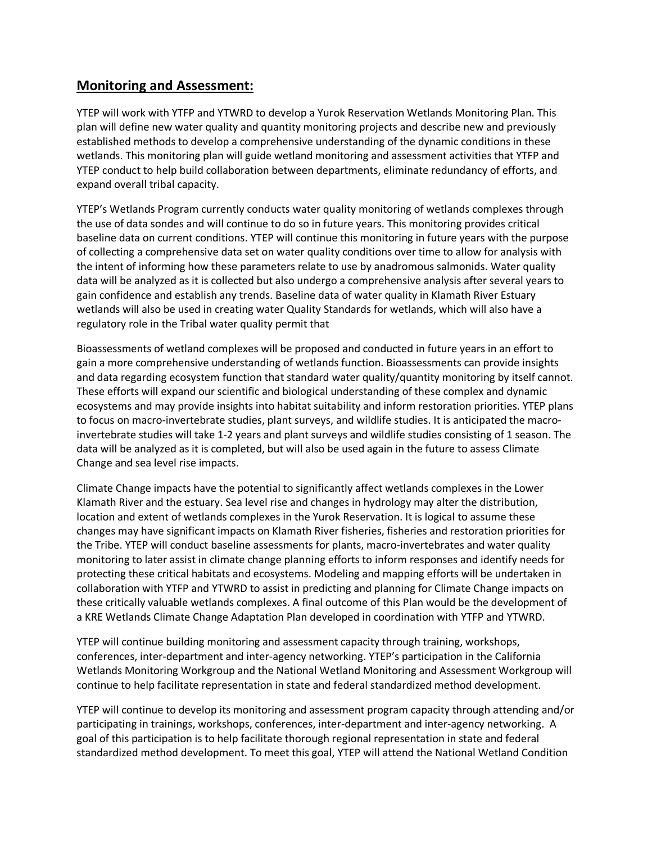## **Monitoring and Assessment:**

YTEP will work with YTFP and YTWRD to develop a Yurok Reservation Wetlands Monitoring Plan. This plan will define new water quality and quantity monitoring projects and describe new and previously established methods to develop a comprehensive understanding of the dynamic conditions in these wetlands. This monitoring plan will guide wetland monitoring and assessment activities that YTFP and YTEP conduct to help build collaboration between departments, eliminate redundancy of efforts, and expand overall tribal capacity.

YTEP's Wetlands Program currently conducts water quality monitoring of wetlands complexes through the use of data sondes and will continue to do so in future years. This monitoring provides critical baseline data on current conditions. YTEP will continue this monitoring in future years with the purpose of collecting a comprehensive data set on water quality conditions over time to allow for analysis with the intent of informing how these parameters relate to use by anadromous salmonids. Water quality data will be analyzed as it is collected but also undergo a comprehensive analysis after several years to gain confidence and establish any trends. Baseline data of water quality in Klamath River Estuary wetlands will also be used in creating water Quality Standards for wetlands, which will also have a regulatory role in the Tribal water quality permit that

Bioassessments of wetland complexes will be proposed and conducted in future years in an effort to gain a more comprehensive understanding of wetlands function. Bioassessments can provide insights and data regarding ecosystem function that standard water quality/quantity monitoring by itself cannot. These efforts will expand our scientific and biological understanding of these complex and dynamic ecosystems and may provide insights into habitat suitability and inform restoration priorities. YTEP plans to focus on macro-invertebrate studies, plant surveys, and wildlife studies. It is anticipated the macroinvertebrate studies will take 1-2 years and plant surveys and wildlife studies consisting of 1 season. The data will be analyzed as it is completed, but will also be used again in the future to assess Climate Change and sea level rise impacts.

Climate Change impacts have the potential to significantly affect wetlands complexes in the Lower Klamath River and the estuary. Sea level rise and changes in hydrology may alter the distribution, location and extent of wetlands complexes in the Yurok Reservation. It is logical to assume these changes may have significant impacts on Klamath River fisheries, fisheries and restoration priorities for the Tribe. YTEP will conduct baseline assessments for plants, macro-invertebrates and water quality monitoring to later assist in climate change planning efforts to inform responses and identify needs for protecting these critical habitats and ecosystems. Modeling and mapping efforts will be undertaken in collaboration with YTFP and YTWRD to assist in predicting and planning for Climate Change impacts on these critically valuable wetlands complexes. A final outcome of this Plan would be the development of a KRE Wetlands Climate Change Adaptation Plan developed in coordination with YTFP and YTWRD.

YTEP will continue building monitoring and assessment capacity through training, workshops, conferences, inter-department and inter-agency networking. YTEP's participation in the California Wetlands Monitoring Workgroup and the National Wetland Monitoring and Assessment Workgroup will continue to help facilitate representation in state and federal standardized method development.

YTEP will continue to develop its monitoring and assessment program capacity through attending and/or participating in trainings, workshops, conferences, inter-department and inter-agency networking. A goal of this participation is to help facilitate thorough regional representation in state and federal standardized method development. To meet this goal, YTEP will attend the National Wetland Condition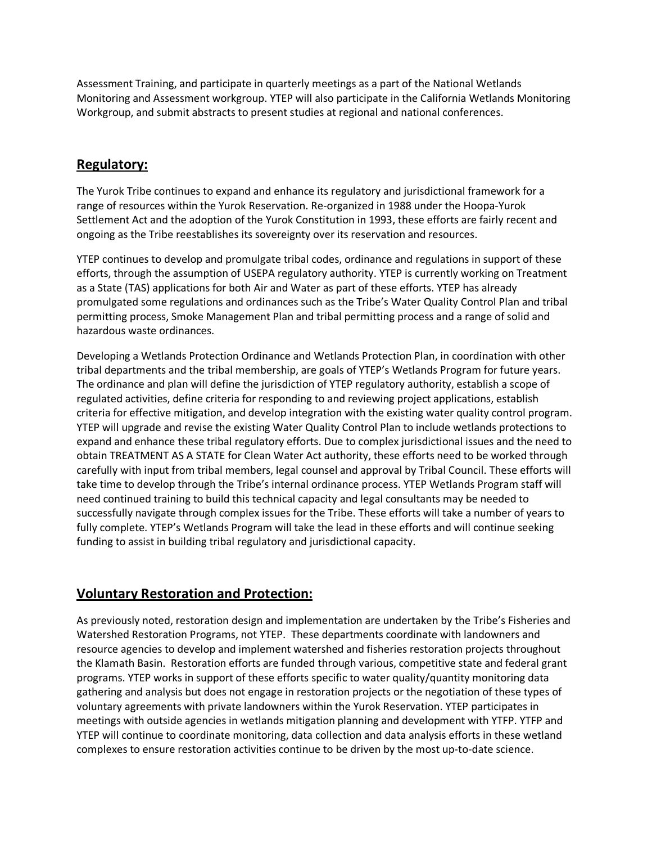Assessment Training, and participate in quarterly meetings as a part of the National Wetlands Monitoring and Assessment workgroup. YTEP will also participate in the California Wetlands Monitoring Workgroup, and submit abstracts to present studies at regional and national conferences.

## **Regulatory:**

The Yurok Tribe continues to expand and enhance its regulatory and jurisdictional framework for a range of resources within the Yurok Reservation. Re-organized in 1988 under the Hoopa-Yurok Settlement Act and the adoption of the Yurok Constitution in 1993, these efforts are fairly recent and ongoing as the Tribe reestablishes its sovereignty over its reservation and resources.

YTEP continues to develop and promulgate tribal codes, ordinance and regulations in support of these efforts, through the assumption of USEPA regulatory authority. YTEP is currently working on Treatment as a State (TAS) applications for both Air and Water as part of these efforts. YTEP has already promulgated some regulations and ordinances such as the Tribe's Water Quality Control Plan and tribal permitting process, Smoke Management Plan and tribal permitting process and a range of solid and hazardous waste ordinances.

Developing a Wetlands Protection Ordinance and Wetlands Protection Plan, in coordination with other tribal departments and the tribal membership, are goals of YTEP's Wetlands Program for future years. The ordinance and plan will define the jurisdiction of YTEP regulatory authority, establish a scope of regulated activities, define criteria for responding to and reviewing project applications, establish criteria for effective mitigation, and develop integration with the existing water quality control program. YTEP will upgrade and revise the existing Water Quality Control Plan to include wetlands protections to expand and enhance these tribal regulatory efforts. Due to complex jurisdictional issues and the need to obtain TREATMENT AS A STATE for Clean Water Act authority, these efforts need to be worked through carefully with input from tribal members, legal counsel and approval by Tribal Council. These efforts will take time to develop through the Tribe's internal ordinance process. YTEP Wetlands Program staff will need continued training to build this technical capacity and legal consultants may be needed to successfully navigate through complex issues for the Tribe. These efforts will take a number of years to fully complete. YTEP's Wetlands Program will take the lead in these efforts and will continue seeking funding to assist in building tribal regulatory and jurisdictional capacity.

# **Voluntary Restoration and Protection:**

As previously noted, restoration design and implementation are undertaken by the Tribe's Fisheries and Watershed Restoration Programs, not YTEP. These departments coordinate with landowners and resource agencies to develop and implement watershed and fisheries restoration projects throughout the Klamath Basin. Restoration efforts are funded through various, competitive state and federal grant programs. YTEP works in support of these efforts specific to water quality/quantity monitoring data gathering and analysis but does not engage in restoration projects or the negotiation of these types of voluntary agreements with private landowners within the Yurok Reservation. YTEP participates in meetings with outside agencies in wetlands mitigation planning and development with YTFP. YTFP and YTEP will continue to coordinate monitoring, data collection and data analysis efforts in these wetland complexes to ensure restoration activities continue to be driven by the most up-to-date science.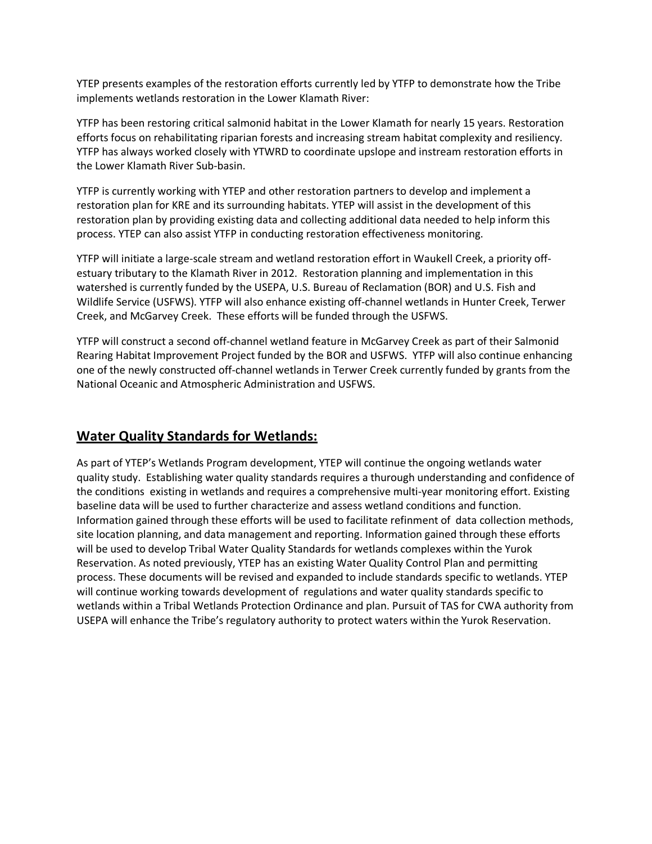YTEP presents examples of the restoration efforts currently led by YTFP to demonstrate how the Tribe implements wetlands restoration in the Lower Klamath River:

YTFP has been restoring critical salmonid habitat in the Lower Klamath for nearly 15 years. Restoration efforts focus on rehabilitating riparian forests and increasing stream habitat complexity and resiliency. YTFP has always worked closely with YTWRD to coordinate upslope and instream restoration efforts in the Lower Klamath River Sub-basin.

YTFP is currently working with YTEP and other restoration partners to develop and implement a restoration plan for KRE and its surrounding habitats. YTEP will assist in the development of this restoration plan by providing existing data and collecting additional data needed to help inform this process. YTEP can also assist YTFP in conducting restoration effectiveness monitoring.

YTFP will initiate a large-scale stream and wetland restoration effort in Waukell Creek, a priority offestuary tributary to the Klamath River in 2012. Restoration planning and implementation in this watershed is currently funded by the USEPA, U.S. Bureau of Reclamation (BOR) and U.S. Fish and Wildlife Service (USFWS). YTFP will also enhance existing off-channel wetlands in Hunter Creek, Terwer Creek, and McGarvey Creek. These efforts will be funded through the USFWS.

YTFP will construct a second off-channel wetland feature in McGarvey Creek as part of their Salmonid Rearing Habitat Improvement Project funded by the BOR and USFWS. YTFP will also continue enhancing one of the newly constructed off-channel wetlands in Terwer Creek currently funded by grants from the National Oceanic and Atmospheric Administration and USFWS.

# **Water Quality Standards for Wetlands:**

As part of YTEP's Wetlands Program development, YTEP will continue the ongoing wetlands water quality study. Establishing water quality standards requires a thurough understanding and confidence of the conditions existing in wetlands and requires a comprehensive multi-year monitoring effort. Existing baseline data will be used to further characterize and assess wetland conditions and function. Information gained through these efforts will be used to facilitate refinment of data collection methods, site location planning, and data management and reporting. Information gained through these efforts will be used to develop Tribal Water Quality Standards for wetlands complexes within the Yurok Reservation. As noted previously, YTEP has an existing Water Quality Control Plan and permitting process. These documents will be revised and expanded to include standards specific to wetlands. YTEP will continue working towards development of regulations and water quality standards specific to wetlands within a Tribal Wetlands Protection Ordinance and plan. Pursuit of TAS for CWA authority from USEPA will enhance the Tribe's regulatory authority to protect waters within the Yurok Reservation.